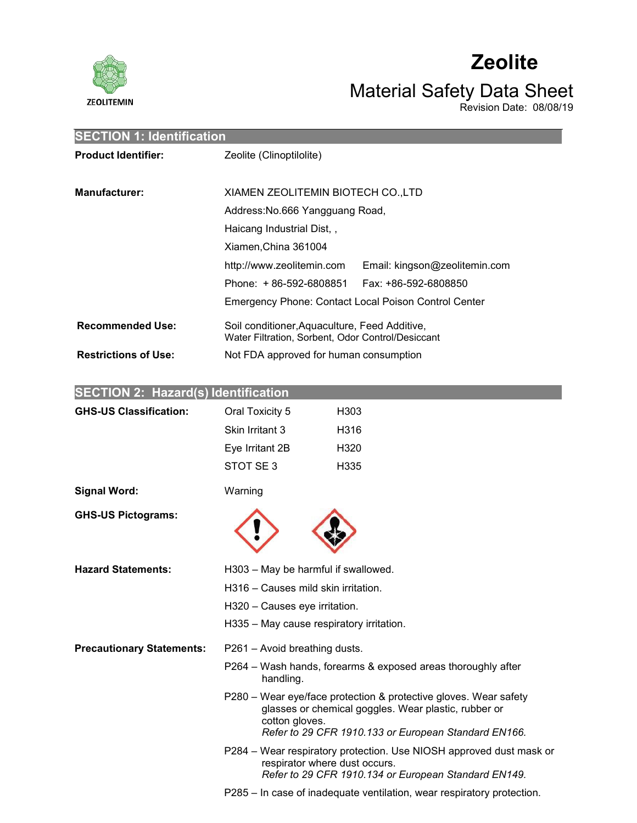

# **Zeolite**

# Material Safety Data Sheet

Revision Date: 08/08/19

| <b>SECTION 1: Identification</b> |                                                                                                    |  |  |  |  |
|----------------------------------|----------------------------------------------------------------------------------------------------|--|--|--|--|
| <b>Product Identifier:</b>       | Zeolite (Clinoptilolite)                                                                           |  |  |  |  |
|                                  |                                                                                                    |  |  |  |  |
| <b>Manufacturer:</b>             | XIAMEN ZEOLITEMIN BIOTECH CO., LTD                                                                 |  |  |  |  |
|                                  | Address: No.666 Yangguang Road,                                                                    |  |  |  |  |
|                                  | Haicang Industrial Dist,,                                                                          |  |  |  |  |
|                                  | Xiamen, China 361004                                                                               |  |  |  |  |
|                                  | http://www.zeolitemin.com<br>Email: kingson@zeolitemin.com                                         |  |  |  |  |
|                                  | Phone: +86-592-6808851<br>Fax: +86-592-6808850                                                     |  |  |  |  |
|                                  | Emergency Phone: Contact Local Poison Control Center                                               |  |  |  |  |
| <b>Recommended Use:</b>          | Soil conditioner, Aquaculture, Feed Additive,<br>Water Filtration, Sorbent, Odor Control/Desiccant |  |  |  |  |
| <b>Restrictions of Use:</b>      | Not FDA approved for human consumption                                                             |  |  |  |  |

| <b>SECTION 2: Hazard(s) Identification</b> |                                     |                                                                                                                                                                                  |
|--------------------------------------------|-------------------------------------|----------------------------------------------------------------------------------------------------------------------------------------------------------------------------------|
| <b>GHS-US Classification:</b>              | Oral Toxicity 5                     | H <sub>303</sub>                                                                                                                                                                 |
|                                            | Skin Irritant 3                     | H316                                                                                                                                                                             |
|                                            | Eye Irritant 2B                     | H320                                                                                                                                                                             |
|                                            | STOT SE3                            | H335                                                                                                                                                                             |
| <b>Signal Word:</b>                        | Warning                             |                                                                                                                                                                                  |
| <b>GHS-US Pictograms:</b>                  |                                     |                                                                                                                                                                                  |
| <b>Hazard Statements:</b>                  |                                     | H303 - May be harmful if swallowed.                                                                                                                                              |
|                                            | H316 – Causes mild skin irritation. |                                                                                                                                                                                  |
|                                            | H320 - Causes eye irritation.       |                                                                                                                                                                                  |
|                                            |                                     | H335 - May cause respiratory irritation.                                                                                                                                         |
| <b>Precautionary Statements:</b>           | P261 - Avoid breathing dusts.       |                                                                                                                                                                                  |
|                                            | handling.                           | P264 – Wash hands, forearms & exposed areas thoroughly after                                                                                                                     |
|                                            | cotton gloves.                      | P280 - Wear eye/face protection & protective gloves. Wear safety<br>glasses or chemical goggles. Wear plastic, rubber or<br>Refer to 29 CFR 1910.133 or European Standard EN166. |
|                                            |                                     | P284 - Wear respiratory protection. Use NIOSH approved dust mask or<br>respirator where dust occurs.<br>Refer to 29 CFR 1910.134 or European Standard EN149.                     |
|                                            |                                     | P285 – In case of inadequate ventilation, wear respiratory protection.                                                                                                           |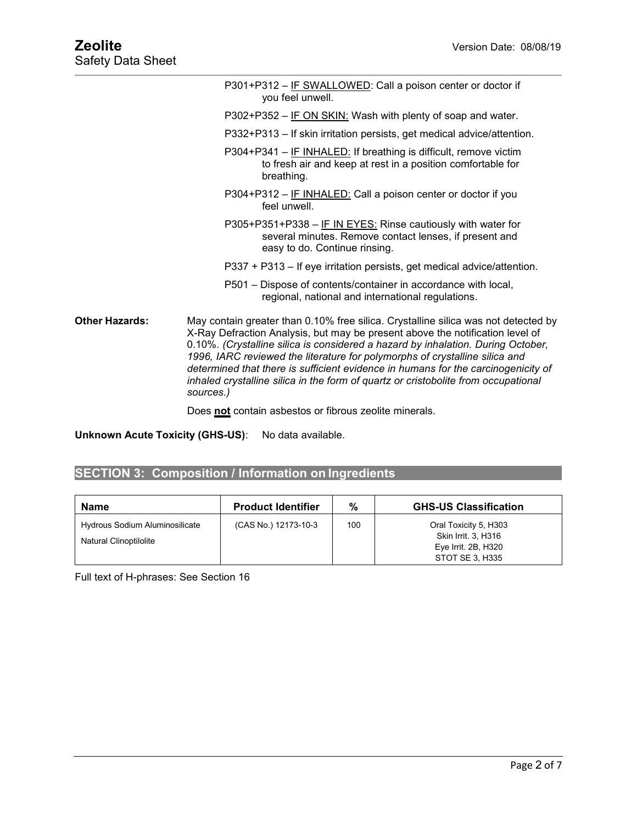|                | P301+P312 – IF SWALLOWED: Call a poison center or doctor if<br>you feel unwell.                                                                                                                                                                                                                                                                                                                                                                                                                                                |
|----------------|--------------------------------------------------------------------------------------------------------------------------------------------------------------------------------------------------------------------------------------------------------------------------------------------------------------------------------------------------------------------------------------------------------------------------------------------------------------------------------------------------------------------------------|
|                | P302+P352 – IF ON SKIN: Wash with plenty of soap and water.                                                                                                                                                                                                                                                                                                                                                                                                                                                                    |
|                | P332+P313 – If skin irritation persists, get medical advice/attention.                                                                                                                                                                                                                                                                                                                                                                                                                                                         |
|                | P304+P341 - IF INHALED: If breathing is difficult, remove victim<br>to fresh air and keep at rest in a position comfortable for<br>breathing.                                                                                                                                                                                                                                                                                                                                                                                  |
|                | P304+P312 - IF INHALED: Call a poison center or doctor if you<br>feel unwell.                                                                                                                                                                                                                                                                                                                                                                                                                                                  |
|                | P305+P351+P338 - IF IN EYES: Rinse cautiously with water for<br>several minutes. Remove contact lenses, if present and<br>easy to do. Continue rinsing.                                                                                                                                                                                                                                                                                                                                                                        |
|                | P337 + P313 – If eye irritation persists, get medical advice/attention.                                                                                                                                                                                                                                                                                                                                                                                                                                                        |
|                | P501 – Dispose of contents/container in accordance with local,<br>regional, national and international regulations.                                                                                                                                                                                                                                                                                                                                                                                                            |
| Other Hazards: | May contain greater than 0.10% free silica. Crystalline silica was not detected by<br>X-Ray Defraction Analysis, but may be present above the notification level of<br>0.10%. (Crystalline silica is considered a hazard by inhalation. During October,<br>1996, IARC reviewed the literature for polymorphs of crystalline silica and<br>determined that there is sufficient evidence in humans for the carcinogenicity of<br>inhaled crystalline silica in the form of quartz or cristobolite from occupational<br>sources.) |
|                |                                                                                                                                                                                                                                                                                                                                                                                                                                                                                                                                |

Does **not** contain asbestos or fibrous zeolite minerals.

**Unknown Acute Toxicity (GHS-US)**: No data available.

# **SECTION 3: Composition / Information on Ingredients**

| Name                                                     | <b>Product Identifier</b> | %   | <b>GHS-US Classification</b>                                        |
|----------------------------------------------------------|---------------------------|-----|---------------------------------------------------------------------|
| Hydrous Sodium Aluminosilicate<br>Natural Clinoptilolite | (CAS No.) 12173-10-3      | 100 | Oral Toxicity 5, H303<br>Skin Irrit. 3, H316<br>Eye Irrit. 2B, H320 |
|                                                          |                           |     | STOT SE 3, H335                                                     |

Full text of H-phrases: See Section 16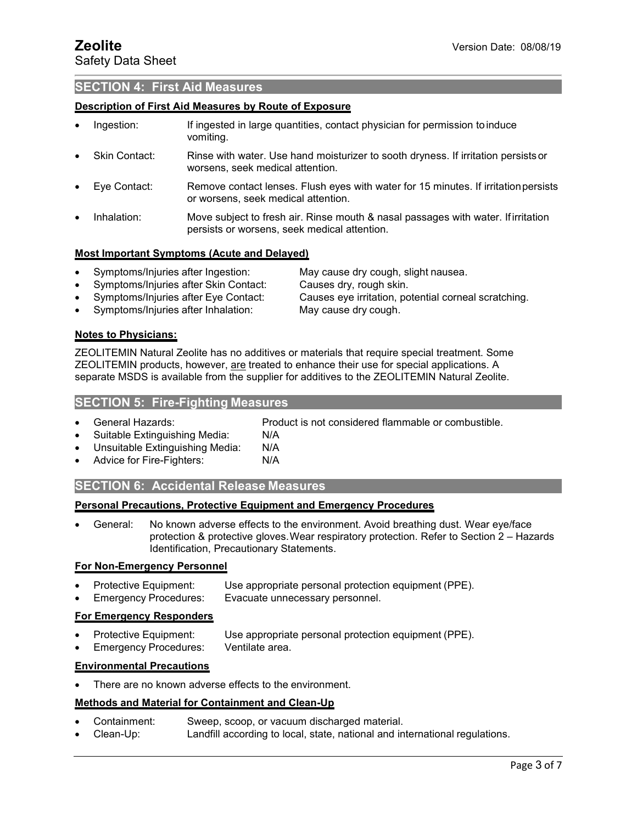# **SECTION 4: First Aid Measures**

# **Description of First Aid Measures by Route of Exposure**

- Ingestion: If ingested in large quantities, contact physician for permission to induce vomiting.
- Skin Contact: Rinse with water. Use hand moisturizer to sooth dryness. If irritation persists or worsens, seek medical attention.
- Eye Contact: Remove contact lenses. Flush eyes with water for15 minutes. If irritationpersists or worsens, seek medical attention.
- Inhalation: Move subject to fresh air. Rinse mouth & nasal passages with water. Ifirritation persists or worsens, seek medical attention.

# **Most Important Symptoms (Acute and Delayed)**

- Symptoms/Injuries after Ingestion: May cause dry cough, slight nausea.
	-
- Symptoms/Injuries after Skin Contact: Causes dry, rough skin.<br>Symptoms/Injuries after Eye Contact: Causes eye irritation, po

Causes eye irritation, potential corneal scratching.

Symptoms/Injuries after Inhalation: May cause dry cough.

# **Notes to Physicians:**

ZEOLITEMIN Natural Zeolite has no additives or materials that require special treatment. Some ZEOLITEMIN products, however, are treated to enhance their use for special applications. A separate MSDS is available from the supplier for additives to the ZEOLITEMIN Natural Zeolite.

# **SECTION 5: Fire-Fighting Measures**

General Hazards: Product is not considered flammable or combustible.

- Suitable Extinguishing Media: N/A
- Unsuitable Extinguishing Media: N/A
- Advice for Fire-Fighters: N/A

# **SECTION 6: Accidental Release Measures**

# **Personal Precautions, Protective Equipment and Emergency Procedures**

 General: No known adverse effects to the environment. Avoid breathing dust. Wear eye/face protection & protective gloves.Wear respiratory protection. Refer to Section 2 – Hazards Identification, Precautionary Statements.

# **For Non-Emergency Personnel**

- Protective Equipment: Use appropriate personal protection equipment (PPE).
	- Emergency Procedures: Evacuate unnecessary personnel.

# **For Emergency Responders**

- Protective Equipment: Use appropriate personal protection equipment (PPE).
- Emergency Procedures: Ventilate area.

# **Environmental Precautions**

There are no known adverse effects to the environment.

# **Methods and Material for Containment and Clean-Up**

- Containment: Sweep, scoop, or vacuum dischargedmaterial.
- Clean-Up: Landfill according to local, state, national and international regulations.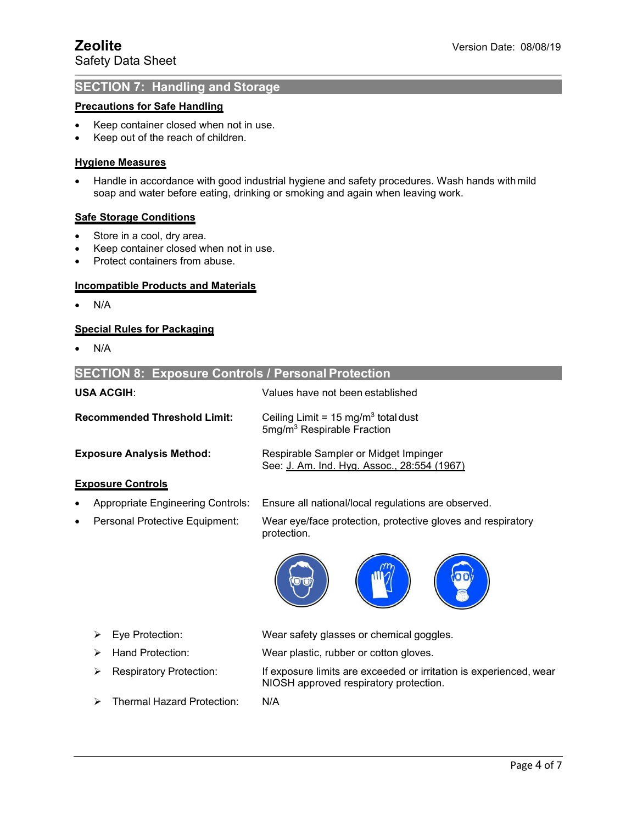# **SECTION 7: Handling and Storage**

# **Precautions for Safe Handling**

- Keep container closed when not in use.
- Keep out of the reach of children.

# **Hygiene Measures**

• Handle in accordance with good industrial hygiene and safety procedures. Wash hands with mild soap and water before eating, drinking or smoking and again when leaving work.

# **Safe Storage Conditions**

- Store in a cool, dry area.
- Keep container closed when not in use.
- Protect containers from abuse.

# **Incompatible Products and Materials**

 $\bullet$  N/A

# **Special Rules for Packaging**

 $\bullet$  N/A

| <b>SECTION 8: Exposure Controls / Personal Protection</b> |                                                                                          |
|-----------------------------------------------------------|------------------------------------------------------------------------------------------|
| <b>USA ACGIH:</b>                                         | Values have not been established.                                                        |
| <b>Recommended Threshold Limit:</b>                       | Ceiling Limit = $15 \text{ mg/m}^3$ total dust<br>5mg/m <sup>3</sup> Respirable Fraction |
| <b>Exposure Analysis Method:</b>                          | Respirable Sampler or Midget Impinger<br>See: J. Am. Ind. Hyg. Assoc., 28:554 (1967)     |
| <b>Exposure Controls</b>                                  |                                                                                          |
| <b>Appropriate Engineering Controls:</b><br>$\bullet$     | Ensure all national/local regulations are observed.                                      |
| Personal Protective Equipment:<br>$\bullet$               | Wear eye/face protection, protective gloves and respiratory<br>protection.               |
|                                                           |                                                                                          |



NIOSH approved respiratory protection.

- Eye Protection: Wear safety glasses or chemical goggles.
- > Hand Protection: Wear plastic, rubber or cotton gloves.
- $\triangleright$  Respiratory Protection: If exposure limits are exceeded or irritation is experienced, wear
- > Thermal Hazard Protection: N/A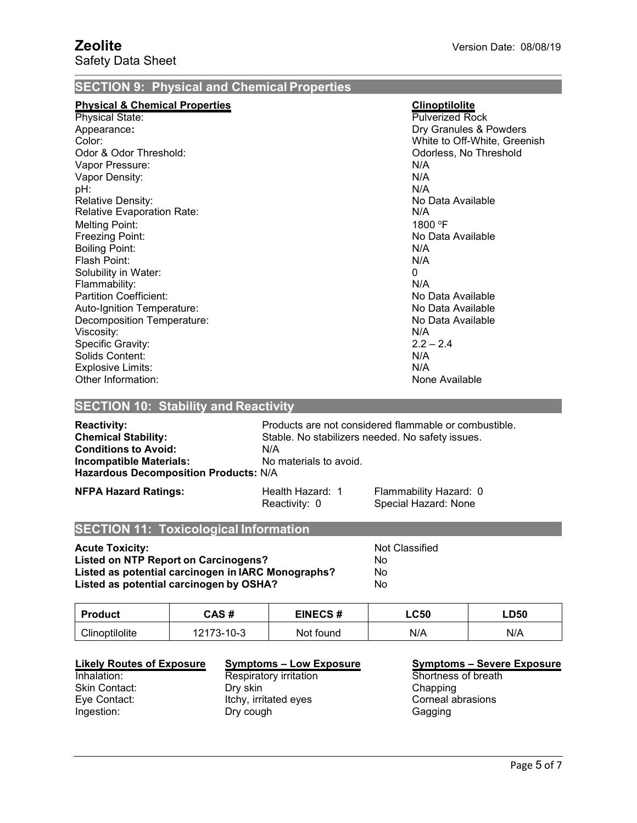# **SECTION 9: Physical and Chemical Properties**

| <b>Physical &amp; Chemical Properties</b> | <b>Clinoptilolite</b>        |
|-------------------------------------------|------------------------------|
| <b>Physical State:</b>                    | <b>Pulverized Rock</b>       |
| Appearance:                               | Dry Granules & Powders       |
| Color:                                    | White to Off-White, Greenish |
| Odor & Odor Threshold:                    | Odorless, No Threshold       |
| Vapor Pressure:                           | N/A                          |
| Vapor Density:                            | N/A                          |
| pH:                                       | N/A                          |
| <b>Relative Density:</b>                  | No Data Available            |
| <b>Relative Evaporation Rate:</b>         | N/A                          |
| <b>Melting Point:</b>                     | 1800 °F                      |
| Freezing Point:                           | No Data Available            |
| <b>Boiling Point:</b>                     | N/A                          |
| Flash Point:                              | N/A                          |
| Solubility in Water:                      | 0                            |
| Flammability:                             | N/A                          |
| <b>Partition Coefficient:</b>             | No Data Available            |
| Auto-Ignition Temperature:                | No Data Available            |
| Decomposition Temperature:                | No Data Available            |
| Viscosity:                                | N/A                          |
| Specific Gravity:                         | $2.2 - 2.4$                  |
| Solids Content:                           | N/A                          |
| Explosive Limits:                         | N/A                          |
| Other Information:                        | None Available               |

# **SECTION 10: Stability and Reactivity**

| <b>Reactivity:</b><br><b>Chemical Stability:</b><br><b>Conditions to Avoid:</b><br>Incompatible Materials:<br><b>Hazardous Decomposition Products: N/A</b> | Products are not considered flammable or combustible.<br>Stable. No stabilizers needed. No safety issues.<br>N/A<br>No materials to avoid. |                                                |  |  |  |
|------------------------------------------------------------------------------------------------------------------------------------------------------------|--------------------------------------------------------------------------------------------------------------------------------------------|------------------------------------------------|--|--|--|
| <b>NFPA Hazard Ratings:</b>                                                                                                                                | Health Hazard: 1<br>Reactivity: 0                                                                                                          | Flammability Hazard: 0<br>Special Hazard: None |  |  |  |

# **SECTION 11: Toxicological Information**

**Acute Toxicity:**<br> **Acute Toxicity:**<br>
Listed on NTP Report on Carcinogens?<br>
No **Listed on NTP Report on Carcinogens?** No<br> **Listed as potential carcinogen in IARC Monographs?** No **Listed as potential carcinogen in <b>IARC** Monographs? **Listed as potential carcinogen by OSHA?** No

| <b>Product</b> | CAS #                                       | <b>EINECS#</b> | $\mathsf{LC50}$ | <b>LD50</b> |
|----------------|---------------------------------------------|----------------|-----------------|-------------|
| Clinoptilolite | - ה<br>- 1 ∩_ 2<br>- J- I U-J<br>$\epsilon$ | Not found      | N/A             | N/A         |

## **Likely Routes of Exposure Symptoms – Low Exposure Symptoms – Severe Exposure**

Skin Contact: **Dry skin**<br>
Eve Contact: **Noting the Contact:** Corneal abrasions<br>
Let Corneal abrasions Eye Contact: Itchy, irritated eyes<br>
Ingestion: Corneal about the Corneal about the Dry cough Dry cough Gagging

# Inhalation: Respiratory irritation Shortness of breath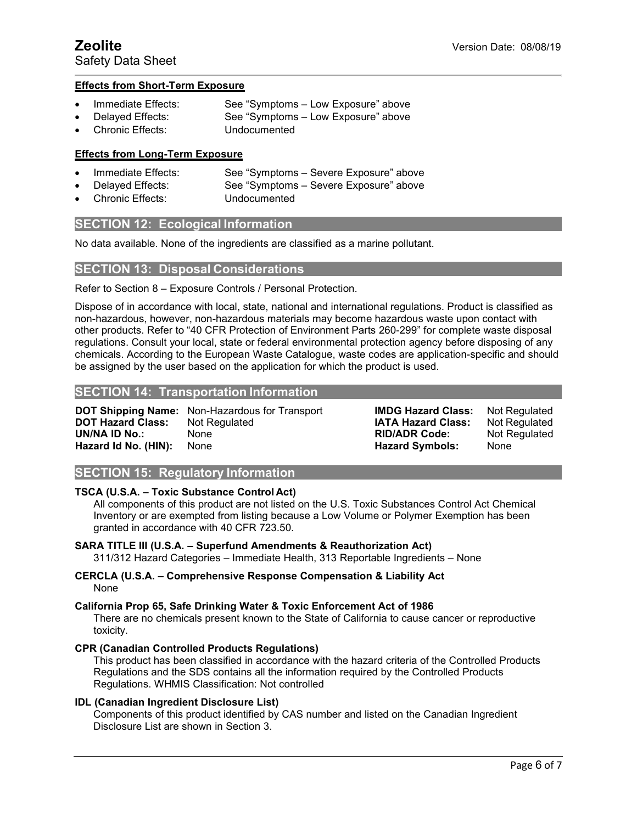# **Effects from Short-Term Exposure**

- Immediate Effects: See "Symptoms Low Exposure" above
	- Delayed Effects: See "Symptoms Low Exposure" above
- Chronic Effects: Undocumented

# **Effects from Long-Term Exposure**

- Immediate Effects: See "Symptoms Severe Exposure" above
	- Delayed Effects: See "Symptoms Severe Exposure" above
- Chronic Effects: Undocumented

# **SECTION 12: Ecological Information**

No data available. None of the ingredients are classified as a marine pollutant.

# **SECTION 13: Disposal Considerations**

Refer to Section 8 – Exposure Controls / Personal Protection.

Dispose of in accordance with local, state, national and international regulations. Product is classified as non-hazardous, however, non-hazardous materials may become hazardous waste upon contact with other products. Refer to "40 CFR Protection of Environment Parts 260-299" for complete waste disposal regulations. Consult your local, state or federal environmental protection agency before disposing of any chemicals. According to the European Waste Catalogue, waste codes are application-specific and should be assigned by the user based on the application for which the product is used.

# **SECTION 14: Transportation Information**

**DOT Shipping Name:** Non-Hazardous for Transport **DOT Hazard Class:** Not Regulated **UN/NA ID No.:** None **RID/ADR Code:** Not Regulated **Hazard Id No. (HIN):** 

**IMDG Hazard Class: IATA Hazard Class:** Not Regulated Not Regulated

**SECTION 15: Regulatory Information**

# **TSCA (U.S.A. – Toxic Substance Control Act)**

All components of this product are not listed on the U.S.Toxic Substances Control Act Chemical Inventory or are exempted from listing because a Low Volume or Polymer Exemption has been granted in accordance with 40 CFR 723.50.

### **SARA TITLE III (U.S.A. – Superfund Amendments & Reauthorization Act)** 311/312 Hazard Categories – Immediate Health, 313 Reportable Ingredients – None

**CERCLA (U.S.A. – Comprehensive Response Compensation & Liability Act** None

# **California Prop 65, Safe Drinking Water & Toxic Enforcement Act of 1986**

There are no chemicals present known to the State of California to cause cancer or reproductive toxicity.

# **CPR (Canadian Controlled Products Regulations)**

This product has been classified in accordance with the hazard criteria of the Controlled Products Regulations and the SDS contains all the information required by the Controlled Products Regulations. WHMIS Classification: Not controlled

# **IDL (Canadian Ingredient Disclosure List)**

Components of this product identified by CAS number and listed on the Canadian Ingredient Disclosure List are shown in Section 3.